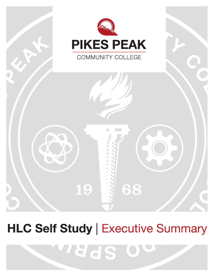

# **HLC Self Study | Executive Summary**

WYSCIS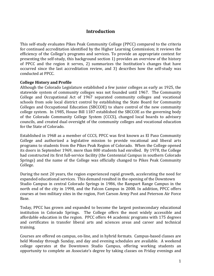# **Introduction**

This self-study evaluates Pikes Peak Community College (PPCC) compared to the criteria for continued accreditation identified by the Higher Learning Commission; it reviews the efficiency of the College's programs and services. To provide an appropriate context for presenting the self-study, this background section 1) provides an overview of the history of PPCC and the region it serves, 2) summarizes the Institution's changes that have occurred since the last accreditation review, and 3) describes how the self-study was conducted at PPCC.

#### **College History and Profile**

Although the Colorado Legislature established a few junior colleges as early as 1925, the statewide system of community colleges was not founded until 1967. The Community College and Occupational Act of 1967 separated community colleges and vocational schools from sole local district control by establishing the State Board for Community Colleges and Occupational Education (SBCCOE) to share control of the new community college system. In 1985, House Bill 1187 established the SBCCOE as the governing body of the Colorado Community College System (CCCS), changed local boards to advisory councils, and created dual oversight of the community colleges and vocational education for the State of Colorado.

Established in 1968 as a member of CCCS, PPCC was first known as El Paso Community College and authorized a legislative mission to provide vocational and liberal arts programs to students from the Pikes Peak Region of Colorado. When the College opened its doors in September 1969, more than 800 students had enrolled. By 1978, the College had constructed its first full-service facility (the Centennial Campus in southern Colorado Springs) and the name of the College was officially changed to Pikes Peak Community College. 

During the next 20 years, the region experienced rapid growth, accelerating the need for expanded educational services. This demand resulted in the opening of the Downtown Studio Campus in central Colorado Springs in 1986, the Rampart Range Campus in the north end of the city in 1998, and the Falcon Campus in 2008. In addition, PPCC offers courses at two military sites in the region, Fort Carson Army Post and Peterson Air Force Base. 

Today, PPCC has grown and expanded to become the largest postsecondary educational institution in Colorado Springs. The College offers the most widely accessible and affordable education in the region. PPCC offers 44 academic programs with 175 degrees and certificates in transfer liberal arts and sciences areas and career and technical training.

Courses are offered on campus, on-line, and in hybrid formats. Campus-based classes are held Monday through Sunday, and day and evening schedules are available. A weekend college operates at the Downtown Studio Campus, offering working students an opportunity to complete an Associate's degree by taking classes on Friday evenings and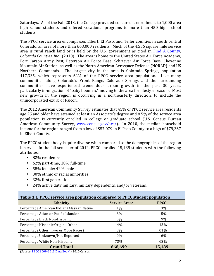Saturdays. As of the Fall 2013, the College provided concurrent enrollment to 1,000 area high school students and offered vocational programs to more than 450 high school students. 

The PPCC service area encompasses Elbert, El Paso, and Teller counties in south central Colorado, an area of more than 668,000 residents. Much of the 4,536 square mile service area is rural ranch land or is held by the U.S. government as cited in Find A County, *Colorado Counties, Inc.* (2010). The area is home to the United States Air Force Academy. Fort Carson Army Post, Peterson Air Force Base, Schriever Air Force Base, Cheyenne Mountain Air Station, as well as the North American Aerospace Defense (NORAD) and US Northern Commands. The largest city in the area is Colorado Springs, population 417,335, which represents 62% of the PPCC service area population. Like many communities along Colorado's Front Range, Colorado Springs and the surrounding communities have experienced tremendous urban growth in the past 30 years, particularly in-migration of "baby boomers" moving to the area for lifestyle reasons. Most new growth in the region is occurring in a northeasterly direction, to include the unincorporated exurb of Falcon.

The 2012 American Community Survey estimates that 45% of PPCC service area residents age 25 and older have attained at least an Associate's degree and 8.5% of the service area population is currently enrolled in college or graduate school (U.S. Census Bureau American Community Survey, www.census.gov/acs/). In 2010, the median household income for the region ranged from a low of \$57,079 in El Paso County to a high of \$79,367 in Elbert County.

The PPCC student body is quite diverse when compared to the demographics of the region it serves. In the fall semester of 2012, PPCC enrolled 15,189 students with the following attributes: 

- 82% residents;
- $62\%$  part-time; 38% full-time
- $\cdot$  58% female; 42% male
- 30% ethnic or racial minorities;
- 32% first generation
- 24% active duty military, military dependents, and/or veterans.

| Table 1.1 PPCC service area population compared to PPCC student population |                           |             |
|----------------------------------------------------------------------------|---------------------------|-------------|
| <b>Ethnicity</b>                                                           | Service Area <sup>a</sup> | <b>PPCC</b> |
| Percentage American Indian/Alaskan Native                                  | $1\%$                     | 3%          |
| Percentage Asian or Pacific Islander                                       | 3%                        | 5%          |
| Percentage Black Non-Hispanic                                              | 5%                        | 9%          |
| Percentage Hispanic Origin - Other                                         | 14%                       | 13%         |
| Percentage Other (Two or More Races)                                       | 3%                        | .01%        |
| Percentage Unknown/Not Reported                                            | $0\%$                     | 6%          |
| Percentage White Non-Hispanic                                              | 73%                       | 63%         |
| <b>Grand Total</b>                                                         | 668,699                   | 15,189      |

(Source: PPCC 2009-2013 Data Book),<sup>a</sup> 2010 Census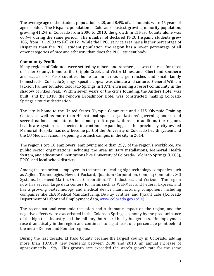The average age of the student population is 28, and  $8.4\%$  of all students were 45 years of age or older. The Hispanic population is Colorado's fastest-growing minority population, growing  $41.2\%$  in Colorado from 2000 to 2010; the growth in El Paso County alone was  $60.4\%$  during the same period. The number of declared PPCC Hispanic students grew 18% from Fall 2003 to Fall 2012. While the PPCC service area has a higher percentage of Hispanics than the PPCC student population, the region has a lower percentage of all other categories of race and ethnicity than does the PPCC student body.

#### **Community Profile**

Many regions of Colorado were settled by miners and ranchers, as was the case for most of Teller County, home to the Cripple Creek and Victor Mines, and Elbert and southern and eastern El Paso counties, home to numerous large ranches and small family homesteads. Colorado Springs' specific appeal was climate and culture. General William Jackson Palmer founded Colorado Springs in 1871, envisioning a resort community in the shadow of Pikes Peak. Within seven years of the city's founding, the Antlers Hotel was built; and by 1918, the renown Broadmoor Hotel was constructed, making Colorado Springs a tourist destination.

The city is home to the United States Olympic Committee and a U.S. Olympic Training Center, as well as more than 40 national sports organizations' governing bodies and several national and international non-profit organizations. In addition, the region's healthcare system is expected to continue expanding, as the previously city-owned Memorial Hospital has now become part of the University of Colorado health system and the CU Medical School is opening a branch campus in the city in 2014.

The region's top 10 employers, employing more than 25% of the region's workforce, are public sector organizations including the area military installations, Memorial Health System, and educational institutions like University of Colorado-Colorado Springs (UCCS), PPCC, and local school districts.

Among the top private employers in the area are leading high technology companies such as Agilent Technologies, Hewlett-Packard, Quantum Corporation, Compaq Computer, SCI Systems, Lockheed-Martin, Oracle Corporation, ITT Industries, and Verizon. The region now has several large data centers for firms such as Wal-Mart and Federal Express, and has a growing biotechnology and medical device manufacturing component, including companies like CEA Medical Manufacturing, De Puy Synthes, and Pyxant Labs (Colorado Department of Labor and Employment data, www.colorado.gov/cdle).

The recent national economic recession had a dramatic impact on the region, and the negative effects were exacerbated in the Colorado Springs economy by the predominance of the high tech industry and the military, both hard hit by budget cuts. Unemployment rose dramatically in the region and continues to lag at least one percentage point behind the metro Denver and Boulder regions.

During the last decade, El Paso County became the largest county in Colorado, adding more than 107,000 new residents between 2000 and 2010, an annual increase of approximately  $1.9\%$ . This growth rate exceeded the state's growth rate for the same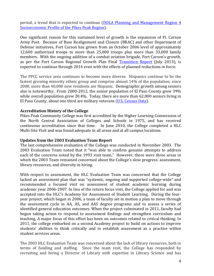period, a trend that is expected to continue (DOLA Planning and Management Region 4 Socioeconomic Profile of the Pikes Peak Region).

One significant reason for this sustained level of growth is the expansion of Ft. Carson Army Post. Because of Base Realignment and Closure (BRAC) and other Department of Defense initiatives, Fort Carson has grown from an October 2006 level of approximately 12,600 authorized troops to more than 25,000 troops plus more than 33,000 family members. With the ongoing addition of a combat aviation brigade, Fort Carson's growth, as per the Fort Carson Regional Growth Plan Final Transition Report (July 2013), is expected to continue through 2014 even with the effects of planned reductions in force.

The PPCC service area continues to become more diverse. Hispanics continue to be the fastest growing minority ethnic group and comprise almost  $14\%$  of the population; since 2000, more than 40,000 new residents are Hispanic. Demographic growth among seniors also is noteworthy. From 2000-2012, the senior population of El Paso County grew  $39\%$ while overall population grew 20.4%. Today, there are more than  $62,000$  seniors living in El Paso County, about one third are military veterans (U.S. Census Data).

#### **Accreditation History of the College**

Pikes Peak Community College was first accredited by the Higher Learning Commission of the North Central Association of Colleges and Schools in 1975, and has received continuous accreditation since that time. In June 2010, the College completed a HLC Multi-Site Visit and was found adequate in all areas and at all campus locations.

#### Updates from the 2003 Evaluation Team Report

The last comprehensive evaluation of the College was conducted in November 2003. The 2003 Evaluation Team noted that it "was able to confirm genuine attempts to address each of the concerns noted by the 1993 visit team." However, there were three areas in which the 2003 Team remained concerned about the College's slow progress: assessment, library resources, and diversity in hiring.

With respect to assessment, the HLC Evaluation Team was concerned that the College lacked an assessment plan that was "systemic, ongoing and supported college-wide" and recommended a focused visit on assessment of student academic learning during academic year 2006-2007. In lieu of the return focus visit, the College applied for and was accepted into the HLC's Academy for Assessment of Student Learning. During the fouryear project, which began in 2006, a team of faculty set in motion a plan to move through the assessment cycle in AA, AS, and AAS degree programs and to assess a series of identified general education outcomes. When the project culminated in 2011, faculty had begun taking action to respond to assessment findings and strengthen curriculum and teaching. A major focus of this effort has been on outcomes related to critical thinking. In 2011, the college embarked on a second Academy project to build on actions to improve students' abilities to think critically and to establish assessment as a practice within student services areas.

The 2003 HLC Evaluation Team was concerned about the lack of library resources, both in terms of funding and staffing. Since the team visit, the College has responded by recruiting and hiring a Director of Library with expertise in Library Science and has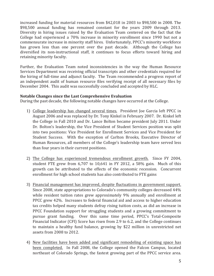increased funding for material resources from  $$42,018$  in 2003 to \$98,500 in 2008. The \$98,500 annual funding has remained constant for the years 2009 through 2013. Diversity in hiring issues raised by the Evaluation Team centered on the fact that the College had experienced a 70% increase in minority enrollment since 1990 but not a commensurate increase in minority staff hires. Unfortunately, PPCC's minority workforce has grown less than one percent over the past decade. Although the College has diversified its non-instructional staff, it continues to focus efforts toward hiring and retaining minority faculty.

Further, the Evaluation Team noted inconsistencies in the way the Human Resource Services Department was receiving official transcripts and other credentials required for the hiring of full-time and adjunct faculty. The Team recommended a progress report of an independent audit of human resource files verifying receipt of all necessary files by December 2004. This audit was successfully concluded and accepted by HLC.

#### Notable Changes since the Last Comprehensive Evaluation

During the past decade, the following notable changes have occurred at the College.

- 1) College leadership has changed several times. President Joe Garcia left PPCC in August 2006 and was replaced by Dr. Tony Kinkel in February 2007. Dr. Kinkel left the College in Fall 2010 and Dr. Lance Bolton became president July 2011. Under Dr. Bolton's leadership, the Vice President of Student Services position was split into two positions: Vice President for Enrollment Services and Vice President for Student Success. With the exception of Carlton Brooks, Executive Director of Human Resources, all members of the College's leadership team have served less than four years in their current positions.
- 2) The College has experienced tremendous enrollment growth. Since FY 2004, student FTE grew from  $6,707$  to  $10,641$  in FY 2012, a 58% gain. Much of this growth can be attributed to the effects of the economic recession. Concurrent enrollment for high school students has also contributed to FTE gains
- 3) Financial management has improved, despite fluctuations in government support. Since 2008, state appropriations to Colorado's community colleges decreased 44% while resident tuition rates grew approximately 9% annually and enrollment at PPCC grew 42%. Increases to federal financial aid and access to higher education tax credits helped many students defray rising tuition costs, as did an increase in PPCC Foundation support for struggling students and a growing commitment to pursue grant funding. Over this same time period, PPCC's Total-Composite Financial Indicator  $(CFI)$  Score has risen from 2.9 to 6.2, and the College continues to maintain a healthy fund balance, growing by \$22 million in unrestricted net assets from 2008 to 2012.
- 4) New facilities have been added and significant remodeling of existing space has been completed. In Fall 2008, the College opened the Falcon Campus, located northeast of Colorado Springs, the fastest growing part of the PPCC service area.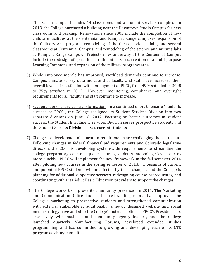The Falcon campus includes 14 classrooms and a student services complex. In 2013, the College purchased a building near the Downtown Studio Campus for new classrooms and parking. Renovations since 2003 include the completion of new childcare facilities at the Centennial and Rampart Range campuses, expansion of the Culinary Arts program, remodeling of the theater, science, labs, and several classrooms at Centennial Campus, and remodeling of the science and nursing labs at Rampart Range campus. Projects now underway at the Centennial Campus include the redesign of space for enrollment services, creation of a multi-purpose Learning Commons, and expansion of the military programs area.

- 5) While employee morale has improved, workload demands continue to increase. Campus climate survey data indicate that faculty and staff have increased their overall levels of satisfaction with employment at PPCC, from 49% satisfied in 2008 to 75% satisfied in 2012. However, monitoring, compliance, and oversight requirements for all faculty and staff continue to increase.
- 6) Student support services transformation. In a continued effort to ensure "students succeed at PPCC", the College realigned its Student Services Division into two separate divisions on June 18, 2012. Focusing on better outcomes in student success, the Student Enrollment Services Division serves prospective students and the Student Success Division serves current students.
- 7) Changes to developmental education requirements are challenging the status quo. Following changes in federal financial aid requirements and Colorado legislative direction, the CCCS is developing system-wide requirements to streamline the college preparatory course sequence moving students into college-level courses more quickly. PPCC will implement the new framework in the fall semester 2014 after piloting new courses in the spring semester of 2013. Thousands of current and potential PPCC students will be affected by these changes, and the College is planning for additional supportive services, redesigning course prerequisites, and coordinating with area Adult Basic Education providers to support the changes.
- 8) The College works to improve its community presence. In 2011, The Marketing and Communication Office launched a re-branding effort that improved the College's marketing to prospective students and strengthened communication with external stakeholders; additionally, a newly designed website and social media strategy have added to the College's outreach efforts. PPCC's President met extensively with business and community agency leaders, and the College launched quarterly Manufacturing Forums, developed extended studies programming, and has committed to growing and developing each of its CTE program advisory committees.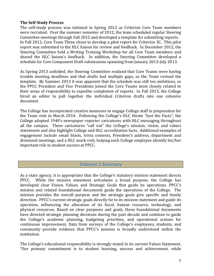#### **The Self-Study Process**

The self-study process was initiated in Spring 2012 as Criterion Core Team members were recruited. Over the summer semester of 2012, the team scheduled regular Steering Committee meetings through Fall 2012 and developed a template for submitting reports. In Fall 2012, Core Team Three chose to develop a pilot report for Criterion 3C. This pilot report was submitted to the HLC liaison for review and feedback. In December 2012, the Steering Committee held a Writing Training Workshop for all Core Team members and shared the HLC liaison's feedback. In addition, the Steering Committee developed a schedule for Core Component Draft submissions spanning from January 2013-July 2013.

As Spring 2013 unfolded, the Steering Committee realized that Core Teams were having trouble meeting deadlines and that drafts had multiple gaps, so the Team revised the template. By Summer 2013 it was apparent that the schedule was still too ambitious, so the PPCC President and Vice Presidents joined the Core Teams most closely related to their areas of responsibility to expedite completion of reports. In Fall 2013, the College hired an editor to pull together the individual Criterion drafts into one cohesive document. 

The College has incorporated creative measures to engage College staff in preparation for the Team visit in March 2014. Following the College's HLC theme "Just the Facts", the College adopted 1940's newspaper reporter caricatures with HLC messaging throughout all the campus. These caricatures "call out" the College's mission, vision, and values statements and also highlight College and HLC accreditation facts. Additional examples of engagement include email blasts, trivia contests, President's address, department and divisional meetings, and a HLC mock visit, helping each College employee identify his/her important role in student success at PPCC.

## **Criterion 1 Summary**

As a state agency, it is appropriate that the College's statutory mission statement directs PPCC. While the mission statement articulates a broad purpose, the College has developed clear Vision, Values, and Strategic Goals that guide its operations. PPCC's mission and related foundational documents guide the operations of the College. The mission provides the overall purpose and the strategic goals give specific and timely direction. PPCC's current strategic goals directly tie to its mission statement and guide its operation, influencing the allocation of its fiscal, human resource, technology, and physical resources. Based on clear purposes and goals, these foundational documents have directed strategic planning decisions during the past decade and continue to guide the College's academic planning, budgeting priorities, and operational actions for continuous improvement. Data from surveys of the College's employees, students, and community provide evidence that PPCC's mission is broadly understood within the institution. 

The College's educational responsibility is strongly stated in its current Values Statement, "Our primary commitment is to student learning, success and achievement, while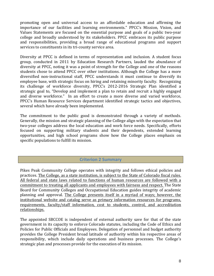promoting open and universal access to an affordable education and affirming the importance of our facilities and learning environments." PPCC's Mission, Vision, and Values Statements are focused on the essential purpose and goals of a public two-year college and broadly understood by its stakeholders. PPCC embraces its public purpose and responsibilities, providing a broad range of educational programs and support services to constituents in its tri-county service area.

Diversity at PPCC is defined in terms of representation and inclusion. A student focus group, conducted in 2011 by Education Research Partners, lauded the abundance of diversity at PPCC, noting it was a point of strength for the College and one of the reasons students chose to attend PPCC over other institutions. Although the College has a more diversified non-instructional staff, PPCC understands it must continue to diversify its employee base, with strategic focus on hiring and retaining minority faculty. Recognizing its challenge of workforce diversity, PPCC's 2012-2016 Strategic Plan identified a strategic goal to, "Develop and implement a plan to retain and recruit a highly engaged and diverse workforce." In an effort to create a more diverse and varied workforce, PPCC's Human Resource Services department identified strategic tactics and objectives, several which have already been implemented.

The commitment to the public good is demonstrated through a variety of methods. Generally, the mission and strategic planning of the College align with the expectation that two-year colleges address the local education and work force needs. Specifically, efforts focused on supporting military students and their dependents, extended learning opportunities, and high school programs show how the College places emphasis on specific populations to fulfill its mission.

## **Criterion 2 Summary**

Pikes Peak Community College operates with integrity and follows ethical policies and practices. The College, as a state institution, is subject to the State of Colorado fiscal rules. All federal and state laws related to functions of human resources are followed with a commitment to treating all applicants and employees with fairness and respect. The State Board for Community Colleges and Occupational Education guides integrity of academic planning and approval. The College presents itself in a myriad of ways; however, the institutional website and catalog serve as primary information resources for programs, requirements, faculty/staff information, cost to students, control, and accreditation relationships.

The appointed SBCCOE is independent of external authority save for that of the state government in its capacity to enforce Colorado statutes, including the Code of Ethics and Policies for Public Officials and Employees. Delegation of personnel and budget authority provides the College President broad latitude of authority within his respective areas of responsibility, which include daily operations and business processes. The College's strategic plan and processes provide for the execution of its mission.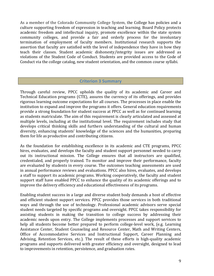As a member of the Colorado Community College System, the College has policies and a culture supporting freedom of expression in teaching and learning. Board Policy protects academic freedom and intellectual inquiry, promote excellence within the state system community colleges, and provide a fair and orderly process for the involuntary termination of employment of faculty members. Institutional research supports the assertion that faculty are satisfied with the level of independence they have in how they teach their classes. Student academic dishonesty/integrity issues are addressed as violations of the Student Code of Conduct. Students are provided access to the Code of Conduct via the college catalog, new student orientation, and the common course syllabi.

#### **Criterion 3 Summary**

Through careful review, PPCC upholds the quality of its academic and Career and Technical Education programs (CTE), assures the currency of its offerings, and provides rigorous learning outcome expectations for all courses. The processes in place enable the institution to expand and improve the programs it offers. General education requirements provide a strong foundation for student success at PPCC as well as for continued learning as students matriculate. The aim of this requirement is clearly articulated and assessed at multiple levels, including at the institutional level. The requirement includes study that develops critical thinking skills and furthers understanding of the cultural and human diversity, enhancing students' knowledge of the sciences and the humanities, preparing them for life as productive and contributing citizens.

As the foundation for establishing excellence in its academic and CTE programs, PPCC hires, evaluates, and develops the faculty and student support personnel needed to carry out its instructional mission. The College ensures that all instructors are qualified, credentialed, and properly trained. To monitor and improve their performance, faculty are evaluated by students in every course. The outcomes teaching assessments are used in annual performance reviews and evaluations. PPCC also hires, evaluates, and develops a staff to support its academic programs. Working cooperatively, the faculty and student support staff have enabled PPCC to enhance the quality of its academic offerings and to improve the delivery efficiency and educational effectiveness of its programs.

Enabling student success in a large and diverse student body demands a host of effective and efficient student support services. PPCC provides those services in both traditional ways and through the use of technology. Professional academic advisors serve special student needs targeted by specific programs and oversight. PPCC takes responsibility for assisting students in making the transition to college success by addressing their academic needs upon entry. The College implements processes and support services to help all students become better prepared to perform college-level work, (e.g. Learning Assistance Center, Student Counseling and Resource Center, Math and Writing Centers, Office of Accommodative Services and Instructional Support, Career Planning and Advising, Retention Services, etc.). The result of these efforts is high-quality academic programs and supports delivered with greater efficiency and oversight, designed to lead to improvements in retention, persistence, and graduation rates.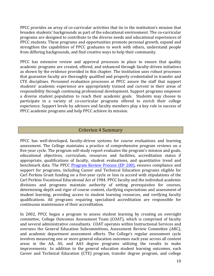PPCC provides an array of co-curricular activities that tie to the institution's mission that broaden students' backgrounds as part of the educational environment. The co-curricular programs are designed to contribute to the diverse needs and educational experiences of PPCC students. These programs and opportunities promote personal growth, expand and strengthen the capabilities of PPCC graduates to work with others, understand people from differing backgrounds, and find creative ways to help their community.

PPCC has extensive review and approval processes in place to ensure that quality academic programs are created, offered, and enhanced through faculty-driven initiatives as shown by the evidence provided in this chapter. The institution uses robust processes that guarantee faculty are thoroughly qualified and properly credentialed in transfer and CTE disciplines. Personnel evaluation processes at PPCC assure the staff that support students' academic experience are appropriately trained and current in their areas of responsibility through continuing professional development. Support programs empower a diverse student population to reach their academic goals. Students may choose to participate in a variety of co-curricular programs offered to enrich their college experience. Support levels by advisors and faculty members play a key role in success of PPCC academic programs and help PPCC achieve its mission.

# Criterion 4 Summary

PPCC has well-developed, faculty-driven systems for course evaluations and learning assessment. The College maintains a practice of comprehensive program reviews on a five-year cycle. The program self-study report evaluates the program's mission and goals, educational objectives, curriculum, resources and facilities, accreditation status if appropriate, qualifications of faculty, student evaluations, and quantitative trend and benchmark data. The PPCC Program Review Process (EP 200), ensures compliance and support for programs, including Career and Technical Education programs eligible for Carl Perkins Grant funding on a five-year cycle or less in accord with stipulations of the Carl Perkins Vocational Educational Act of 1984. PPCC faculty and the individual academic divisions and programs maintain authority of setting prerequisites for courses, determining depth and rigor of course content, clarifying expectations and assessment of student learning, providing access to student learning resources, and verifying faculty qualifications. All programs requiring specialized accreditation are responsible for continuous maintenance of their accreditation.

In 2002, PPCC began a program to assess student learning by creating an oversight committee, College Outcomes Assessment Team (COAT), which is comprised of faculty and several administrative consultants. COAT operates within Instructional Services and oversees the General Education Subcommittees, Assessment Review Committee (ARC), and academic department assessment efforts. The College's regular assessment cycle involves measuring one or more general education outcomes each year across all content areas in the AA, AS, and AAS degree programs utilizing the results to make improvements. In addition to the general education student learning outcomes, each Career and Technical Education (CTE) program, transfer degree program, and college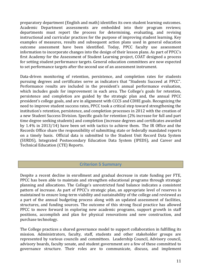preparatory department (English and math) identifies its own student learning outcomes. Academic Department assessments are embedded into their program reviews; departments must report the process for determining, evaluating, and revising instructional and curricular practices for the purpose of improving student learning. Key examples of measures, results and subsequent action plans used in general education outcome assessment have been identified. Today, PPCC faculty use assessment information to incorporate changes into the design of their lesson plans. As part of PPCC's first Academy for the Assessment of Student Learning project, COAT designed a process for setting student performance targets. General education committees are now expected to set performance targets after the second use of an assessment instrument.

Data-driven monitoring of retention, persistence, and completion rates for students pursuing degrees and certificates serve as indicators that "Students Succeed at PPCC". Performance results are included in the president's annual performance evaluation, which includes goals for improvement in each area. The College's goals for retention, persistence and completion are guided by the strategic plan and, the annual PPCC president's college goals, and are in alignment with CCCS and CDHE goals. Recognizing the need to improve student success rates, PPCC took a critical step toward strengthening the institution's retention, persistence, and completion processes in 2012 with the creation of a new Student Success Division. Specific goals for retention (2% increase for full and part time degree seeking students) and completion (increase degrees and certificates awarded by  $1.4\%$  in 2013/14) have been set with tactics to achieve them. The IR Office and the Records Office share the responsibility of submitting state or federally mandated reports on a timely basis. Official data is submitted to the Student Unit Record Data System (SURDS), Integrated Postsecondary Education Data System (IPEDS), and Career and Technical Education (CTE) Reports.

## **Criterion 5 Summary**

Despite a recent decline in enrollment and gradual decrease in state funding per FTE, PPCC has been able to maintain and strengthen educational programs through strategic planning and allocations. The College's unrestricted fund balance indicates a consistent pattern of increase. As part of PPCC's strategic plan, an appropriate level of reserves is maintained to ensure long-term viability and sustainability of the college and reviewed as a part of the annual budgeting process along with an updated assessment of facilities, structures, and funding sources. The outcome of this strong fiscal practice has allowed PPCC to move forward in exploring new academic programs, support growth in staff positions, accomplish and plan for physical renovations and new construction, and purchase technology.

The College practices a shared governance model to support collaboration in fulfilling its mission. Administrators, faculty, staff, students and other stakeholder groups are represented by various councils and committees. Leadership Council, Advisory council, advisory boards, faculty senate, and student government are a few of these committed to governance structure. Their roles are to communicate, discuss, and implement